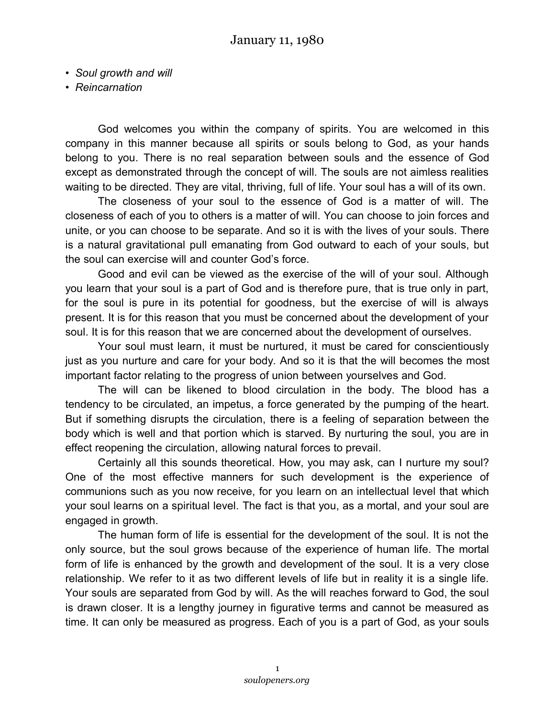- *Soul growth and will*
- *Reincarnation*

God welcomes you within the company of spirits. You are welcomed in this company in this manner because all spirits or souls belong to God, as your hands belong to you. There is no real separation between souls and the essence of God except as demonstrated through the concept of will. The souls are not aimless realities waiting to be directed. They are vital, thriving, full of life. Your soul has a will of its own.

The closeness of your soul to the essence of God is a matter of will. The closeness of each of you to others is a matter of will. You can choose to join forces and unite, or you can choose to be separate. And so it is with the lives of your souls. There is a natural gravitational pull emanating from God outward to each of your souls, but the soul can exercise will and counter God's force.

Good and evil can be viewed as the exercise of the will of your soul. Although you learn that your soul is a part of God and is therefore pure, that is true only in part, for the soul is pure in its potential for goodness, but the exercise of will is always present. It is for this reason that you must be concerned about the development of your soul. It is for this reason that we are concerned about the development of ourselves.

Your soul must learn, it must be nurtured, it must be cared for conscientiously just as you nurture and care for your body. And so it is that the will becomes the most important factor relating to the progress of union between yourselves and God.

The will can be likened to blood circulation in the body. The blood has a tendency to be circulated, an impetus, a force generated by the pumping of the heart. But if something disrupts the circulation, there is a feeling of separation between the body which is well and that portion which is starved. By nurturing the soul, you are in effect reopening the circulation, allowing natural forces to prevail.

Certainly all this sounds theoretical. How, you may ask, can I nurture my soul? One of the most effective manners for such development is the experience of communions such as you now receive, for you learn on an intellectual level that which your soul learns on a spiritual level. The fact is that you, as a mortal, and your soul are engaged in growth.

The human form of life is essential for the development of the soul. It is not the only source, but the soul grows because of the experience of human life. The mortal form of life is enhanced by the growth and development of the soul. It is a very close relationship. We refer to it as two different levels of life but in reality it is a single life. Your souls are separated from God by will. As the will reaches forward to God, the soul is drawn closer. It is a lengthy journey in figurative terms and cannot be measured as time. It can only be measured as progress. Each of you is a part of God, as your souls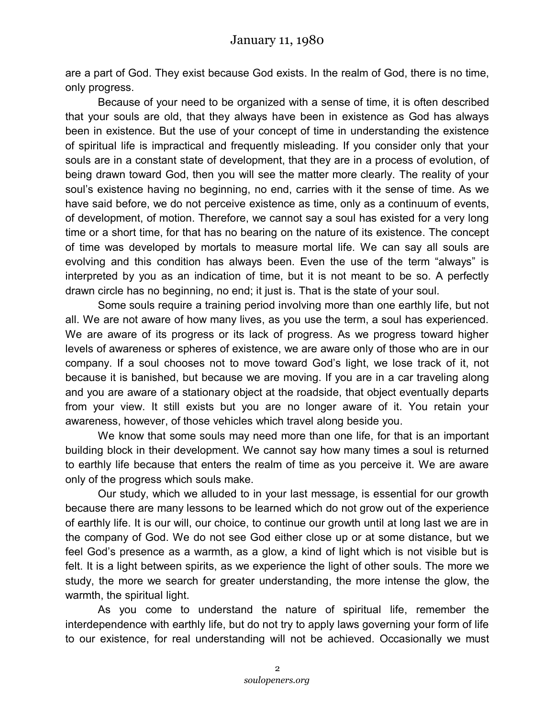are a part of God. They exist because God exists. In the realm of God, there is no time, only progress.

Because of your need to be organized with a sense of time, it is often described that your souls are old, that they always have been in existence as God has always been in existence. But the use of your concept of time in understanding the existence of spiritual life is impractical and frequently misleading. If you consider only that your souls are in a constant state of development, that they are in a process of evolution, of being drawn toward God, then you will see the matter more clearly. The reality of your soul's existence having no beginning, no end, carries with it the sense of time. As we have said before, we do not perceive existence as time, only as a continuum of events, of development, of motion. Therefore, we cannot say a soul has existed for a very long time or a short time, for that has no bearing on the nature of its existence. The concept of time was developed by mortals to measure mortal life. We can say all souls are evolving and this condition has always been. Even the use of the term "always" is interpreted by you as an indication of time, but it is not meant to be so. A perfectly drawn circle has no beginning, no end; it just is. That is the state of your soul.

Some souls require a training period involving more than one earthly life, but not all. We are not aware of how many lives, as you use the term, a soul has experienced. We are aware of its progress or its lack of progress. As we progress toward higher levels of awareness or spheres of existence, we are aware only of those who are in our company. If a soul chooses not to move toward God's light, we lose track of it, not because it is banished, but because we are moving. If you are in a car traveling along and you are aware of a stationary object at the roadside, that object eventually departs from your view. It still exists but you are no longer aware of it. You retain your awareness, however, of those vehicles which travel along beside you.

We know that some souls may need more than one life, for that is an important building block in their development. We cannot say how many times a soul is returned to earthly life because that enters the realm of time as you perceive it. We are aware only of the progress which souls make.

Our study, which we alluded to in your last message, is essential for our growth because there are many lessons to be learned which do not grow out of the experience of earthly life. It is our will, our choice, to continue our growth until at long last we are in the company of God. We do not see God either close up or at some distance, but we feel God's presence as a warmth, as a glow, a kind of light which is not visible but is felt. It is a light between spirits, as we experience the light of other souls. The more we study, the more we search for greater understanding, the more intense the glow, the warmth, the spiritual light.

As you come to understand the nature of spiritual life, remember the interdependence with earthly life, but do not try to apply laws governing your form of life to our existence, for real understanding will not be achieved. Occasionally we must